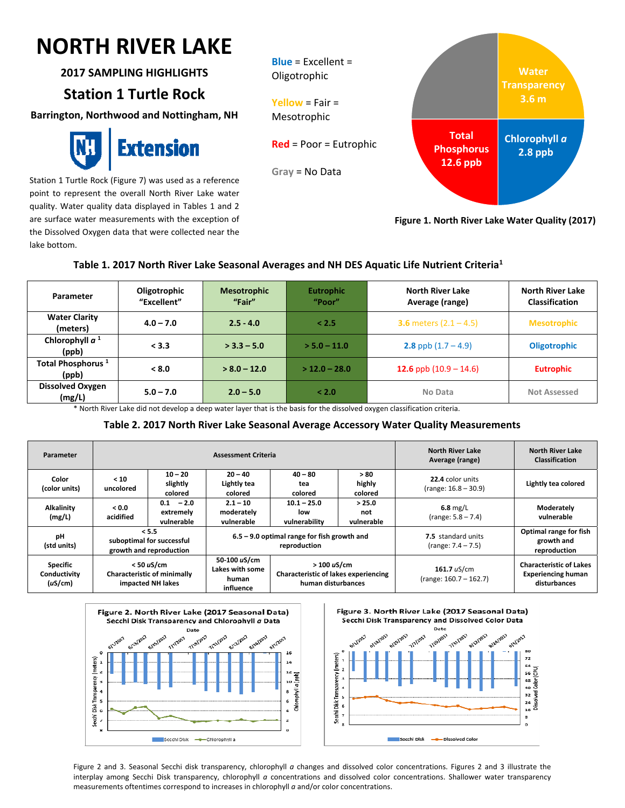# $\overline{\phantom{0}}$ **NORTH RIVER LAKE**

**2017 SAMPLING HIGHLIGHTS**

# **Station 1 Turtle Rock**

**Barrington, Northwood and Nottingham, NH**



Station 1 Turtle Rock (Figure 7) was used as a reference point to represent the overall North River Lake water quality. Water quality data displayed in Tables 1 and 2 are surface water measurements with the exception of the Dissolved Oxygen data that were collected near the lake bottom.



**Figure 1. North River Lake Water Quality (2017)**

## **Table 1. 2017 North River Lake Seasonal Averages and NH DES Aquatic Life Nutrient Criteria1**

| Parameter                              | Oligotrophic<br>"Excellent" | <b>Mesotrophic</b><br>"Fair" | <b>Eutrophic</b><br>"Poor" | <b>North River Lake</b><br>Average (range) | <b>North River Lake</b><br><b>Classification</b> |
|----------------------------------------|-----------------------------|------------------------------|----------------------------|--------------------------------------------|--------------------------------------------------|
| <b>Water Clarity</b><br>(meters)       | $4.0 - 7.0$                 | $2.5 - 4.0$                  | < 2.5                      | <b>3.6</b> meters $(2.1 - 4.5)$            | <b>Mesotrophic</b>                               |
| Chlorophyll $a1$<br>(ppb)              | < 3.3                       | $>$ 3.3 – 5.0                | $> 5.0 - 11.0$             | <b>2.8</b> ppb $(1.7 - 4.9)$               | <b>Oligotrophic</b>                              |
| Total Phosphorus <sup>1</sup><br>(ppb) | < 8.0                       | $> 8.0 - 12.0$               | $>$ 12.0 - 28.0            | 12.6 ppb $(10.9 – 14.6)$                   | <b>Eutrophic</b>                                 |
| <b>Dissolved Oxygen</b><br>(mg/L)      | $5.0 - 7.0$                 | $2.0 - 5.0$                  | < 2.0                      | No Data                                    | <b>Not Assessed</b>                              |

\* North River Lake did not develop a deep water layer that is the basis for the dissolved oxygen classification criteria.

### **Table 2. 2017 North River Lake Seasonal Average Accessory Water Quality Measurements**

| Parameter                                  | <b>Assessment Criteria</b>                                              |                                                               |                                                               |                                                                                 |                             | <b>North River Lake</b><br>Average (range)        | <b>North River Lake</b><br><b>Classification</b>                            |
|--------------------------------------------|-------------------------------------------------------------------------|---------------------------------------------------------------|---------------------------------------------------------------|---------------------------------------------------------------------------------|-----------------------------|---------------------------------------------------|-----------------------------------------------------------------------------|
| Color<br>(color units)                     | < 10<br>uncolored                                                       | $10 - 20$<br>slightly<br>colored                              | $20 - 40$<br>Lightly tea<br>colored                           | $40 - 80$<br>tea<br>colored                                                     | >80<br>highly<br>colored    | 22.4 color units<br>$(range: 16.8 - 30.9)$        | Lightly tea colored                                                         |
| Alkalinity<br>(mg/L)                       | 0.0<br>acidified                                                        | $-2.0$<br>0.1<br>extremely<br>vulnerable                      | $2.1 - 10$<br>moderately<br>vulnerable                        | $10.1 - 25.0$<br>low<br>vulnerability                                           | > 25.0<br>not<br>vulnerable | $6.8$ mg/L<br>$(range: 5.8 - 7.4)$                | Moderately<br>vulnerable                                                    |
| pH<br>(std units)                          |                                                                         | < 5.5<br>suboptimal for successful<br>growth and reproduction | $6.5 - 9.0$ optimal range for fish growth and<br>reproduction |                                                                                 |                             | <b>7.5</b> standard units<br>$(range: 7.4 - 7.5)$ | Optimal range for fish<br>growth and<br>reproduction                        |
| <b>Specific</b><br>Conductivity<br>(uS/cm) | $<$ 50 uS/cm<br><b>Characteristic of minimally</b><br>impacted NH lakes |                                                               | 50-100 uS/cm<br>Lakes with some<br>human<br>influence         | >100 uS/cm<br><b>Characteristic of lakes experiencing</b><br>human disturbances |                             | 161.7 $uS/cm$<br>$(range: 160.7 - 162.7)$         | <b>Characteristic of Lakes</b><br><b>Experiencing human</b><br>disturbances |





Figure 2 and 3. Seasonal Secchi disk transparency, chlorophyll *a* changes and dissolved color concentrations. Figures 2 and 3 illustrate the interplay among Secchi Disk transparency, chlorophyll *a* concentrations and dissolved color concentrations. Shallower water transparency measurements oftentimes correspond to increases in chlorophyll *a* and/or color concentrations.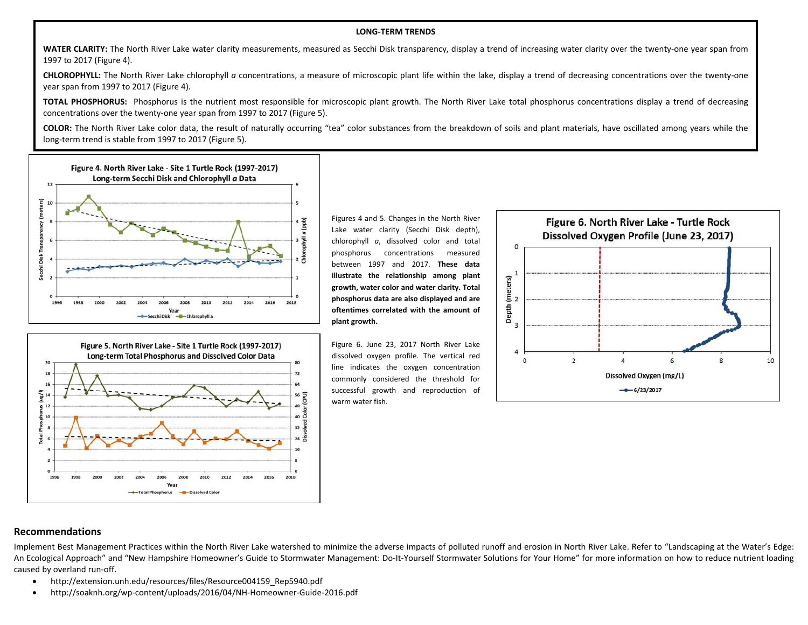#### **LONG‐TERM TRENDS**

**WATER CLARITY:** The North River Lake water clarity measurements, measured as Secchi Disk transparency, display <sup>a</sup> trend of increasing water clarity over the twenty‐one year span from 1997 to 2017 (Figure 4).

**CHLOROPHYLL:** The North River Lake chlorophyll *<sup>a</sup>* concentrations, <sup>a</sup> measure of microscopic plant life within the lake, display <sup>a</sup> trend of decreasing concentrations over the twenty‐one year span from 1997 to 2017 (Figure 4).

**TOTAL PHOSPHORUS:** Phosphorus is the nutrient most responsible for microscopic plant growth. The North River Lake total phosphorus concentrations display <sup>a</sup> trend of decreasing concentrations over the twenty‐one year span from 1997 to 2017 (Figure 5).

**COLOR:** The North River Lake color data, the result of naturally occurring "tea" color substances from the breakdown of soils and plant materials, have oscillated among years while the long‐term trend is stable from 1997 to 2017 (Figure 5).



Figure 5. North River Lake - Site 1 Turtle Rock (1997-2017) Long-term Total Phosphorus and Dissolved Color Data  $20$  $\mathbf{a}$  $18$  $\overline{12}$  $\overline{16}$ se<br>a<br>lor (CPU)  $12$ Ğ  $32 \overline{5}$  $24\frac{8}{6}$ 1996 2016 2018 2000 2002 2012 2014 Total Phosphorus

Figures 4 and 5. Changes in the North River Lake water clarity (Secchi Disk depth), chlorophyll *<sup>a</sup>*, dissolved color and total phosphorus concentrations measured between 1997 and 2017. **These data illustrate the relationship among plant growth, water color and water clarity. Total phosphorus data are also displayed and are oftentimes correlated with the amount of plant growth.**

Figure 6. June 23, 2017 North River Lake dissolved oxygen profile. The vertical red line indicates the oxygen concentration commonly considered the threshold for successful growth and reproduction of warm water fish.



#### **Recommendations**

Implement Best Management Practices within the North River Lake watershed to minimize the adverse impacts of polluted runoff and erosion in North River Lake. Refer to "Landscaping at the Water's Edge: An Ecological Approach" and "New Hampshire Homeowner's Guide to Stormwater Management: Do‐It‐Yourself Stormwater Solutions for Your Home" for more information on how to reduce nutrient loading caused by overland run‐off.

- $\bullet$ http://extension.unh.edu/resources/files/Resource004159\_Rep5940.pdf
- $\bullet$ http://soaknh.org/wp‐content/uploads/2016/04/NH‐Homeowner‐Guide‐2016.pdf